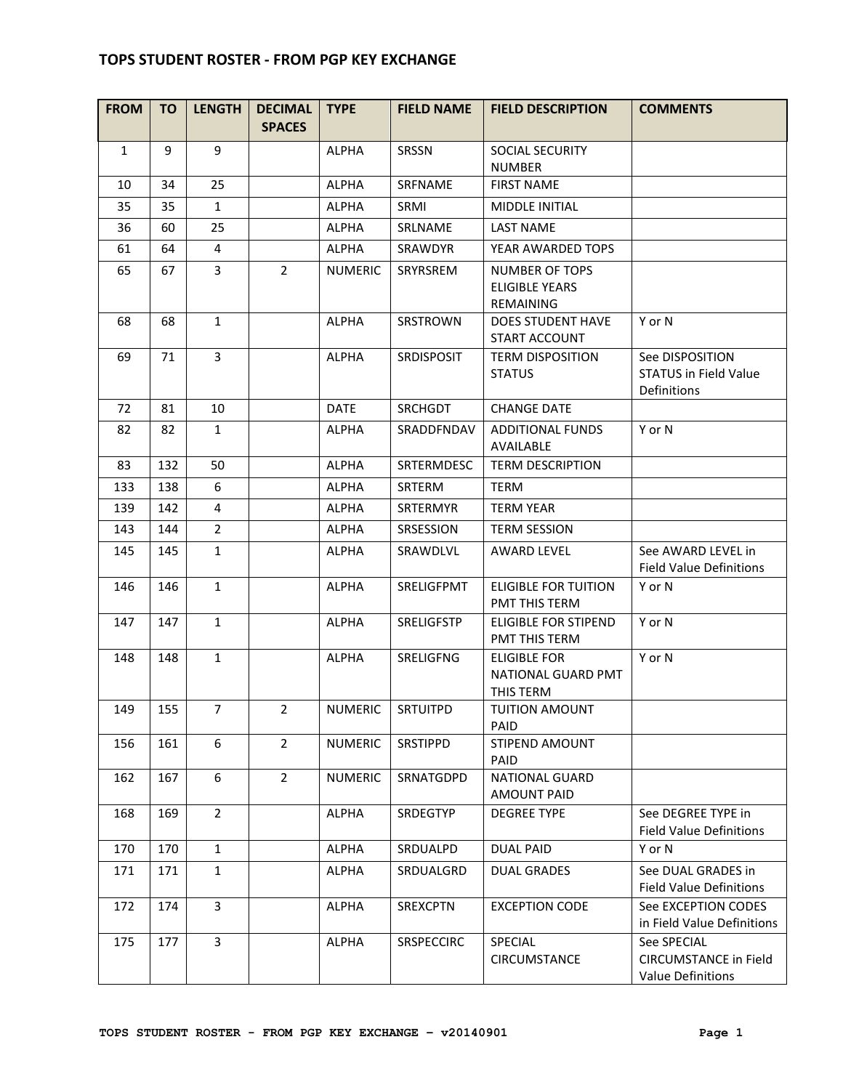## **TOPS STUDENT ROSTER - FROM PGP KEY EXCHANGE**

| <b>FROM</b>  | <b>TO</b> | <b>LENGTH</b>  | <b>DECIMAL</b><br><b>SPACES</b> | <b>TYPE</b>    | <b>FIELD NAME</b> | <b>FIELD DESCRIPTION</b>                                    | <b>COMMENTS</b>                                                         |
|--------------|-----------|----------------|---------------------------------|----------------|-------------------|-------------------------------------------------------------|-------------------------------------------------------------------------|
| $\mathbf{1}$ | 9         | 9              |                                 | <b>ALPHA</b>   | SRSSN             | SOCIAL SECURITY<br><b>NUMBER</b>                            |                                                                         |
| 10           | 34        | 25             |                                 | <b>ALPHA</b>   | SRFNAME           | <b>FIRST NAME</b>                                           |                                                                         |
| 35           | 35        | $\mathbf{1}$   |                                 | <b>ALPHA</b>   | SRMI              | <b>MIDDLE INITIAL</b>                                       |                                                                         |
| 36           | 60        | 25             |                                 | <b>ALPHA</b>   | SRLNAME           | <b>LAST NAME</b>                                            |                                                                         |
| 61           | 64        | 4              |                                 | <b>ALPHA</b>   | <b>SRAWDYR</b>    | YEAR AWARDED TOPS                                           |                                                                         |
| 65           | 67        | $\overline{3}$ | $\overline{2}$                  | <b>NUMERIC</b> | SRYRSREM          | <b>NUMBER OF TOPS</b><br><b>ELIGIBLE YEARS</b><br>REMAINING |                                                                         |
| 68           | 68        | $\mathbf{1}$   |                                 | <b>ALPHA</b>   | SRSTROWN          | <b>DOES STUDENT HAVE</b><br>START ACCOUNT                   | Y or N                                                                  |
| 69           | 71        | $\overline{3}$ |                                 | <b>ALPHA</b>   | SRDISPOSIT        | <b>TERM DISPOSITION</b><br><b>STATUS</b>                    | See DISPOSITION<br><b>STATUS in Field Value</b><br>Definitions          |
| 72           | 81        | 10             |                                 | <b>DATE</b>    | <b>SRCHGDT</b>    | <b>CHANGE DATE</b>                                          |                                                                         |
| 82           | 82        | $\mathbf{1}$   |                                 | <b>ALPHA</b>   | SRADDFNDAV        | <b>ADDITIONAL FUNDS</b><br>AVAILABLE                        | Y or N                                                                  |
| 83           | 132       | 50             |                                 | <b>ALPHA</b>   | <b>SRTERMDESC</b> | <b>TERM DESCRIPTION</b>                                     |                                                                         |
| 133          | 138       | 6              |                                 | <b>ALPHA</b>   | <b>SRTERM</b>     | <b>TERM</b>                                                 |                                                                         |
| 139          | 142       | 4              |                                 | <b>ALPHA</b>   | SRTERMYR          | <b>TERM YEAR</b>                                            |                                                                         |
| 143          | 144       | $\overline{2}$ |                                 | <b>ALPHA</b>   | SRSESSION         | <b>TERM SESSION</b>                                         |                                                                         |
| 145          | 145       | $\mathbf{1}$   |                                 | <b>ALPHA</b>   | SRAWDLVL          | <b>AWARD LEVEL</b>                                          | See AWARD LEVEL in<br><b>Field Value Definitions</b>                    |
| 146          | 146       | $\mathbf{1}$   |                                 | <b>ALPHA</b>   | SRELIGFPMT        | <b>ELIGIBLE FOR TUITION</b><br>PMT THIS TERM                | Y or N                                                                  |
| 147          | 147       | $\mathbf{1}$   |                                 | <b>ALPHA</b>   | SRELIGFSTP        | <b>ELIGIBLE FOR STIPEND</b><br>PMT THIS TERM                | Y or N                                                                  |
| 148          | 148       | $\mathbf{1}$   |                                 | <b>ALPHA</b>   | SRELIGFNG         | <b>ELIGIBLE FOR</b><br>NATIONAL GUARD PMT<br>THIS TERM      | Y or N                                                                  |
| 149          | 155       | $\overline{7}$ | $\overline{2}$                  | <b>NUMERIC</b> | <b>SRTUITPD</b>   | <b>TUITION AMOUNT</b><br>PAID                               |                                                                         |
| 156          | 161       | 6              | $\overline{2}$                  | <b>NUMERIC</b> | SRSTIPPD          | STIPEND AMOUNT<br><b>PAID</b>                               |                                                                         |
| 162          | 167       | 6              | $\overline{2}$                  | <b>NUMERIC</b> | SRNATGDPD         | <b>NATIONAL GUARD</b><br><b>AMOUNT PAID</b>                 |                                                                         |
| 168          | 169       | $\overline{2}$ |                                 | <b>ALPHA</b>   | SRDEGTYP          | <b>DEGREE TYPE</b>                                          | See DEGREE TYPE in<br><b>Field Value Definitions</b>                    |
| 170          | 170       | $\mathbf{1}$   |                                 | <b>ALPHA</b>   | SRDUALPD          | <b>DUAL PAID</b>                                            | Y or N                                                                  |
| 171          | 171       | $\mathbf{1}$   |                                 | <b>ALPHA</b>   | SRDUALGRD         | <b>DUAL GRADES</b>                                          | See DUAL GRADES in<br><b>Field Value Definitions</b>                    |
| 172          | 174       | $\overline{3}$ |                                 | <b>ALPHA</b>   | <b>SREXCPTN</b>   | <b>EXCEPTION CODE</b>                                       | See EXCEPTION CODES<br>in Field Value Definitions                       |
| 175          | 177       | 3              |                                 | <b>ALPHA</b>   | <b>SRSPECCIRC</b> | <b>SPECIAL</b><br>CIRCUMSTANCE                              | See SPECIAL<br><b>CIRCUMSTANCE in Field</b><br><b>Value Definitions</b> |